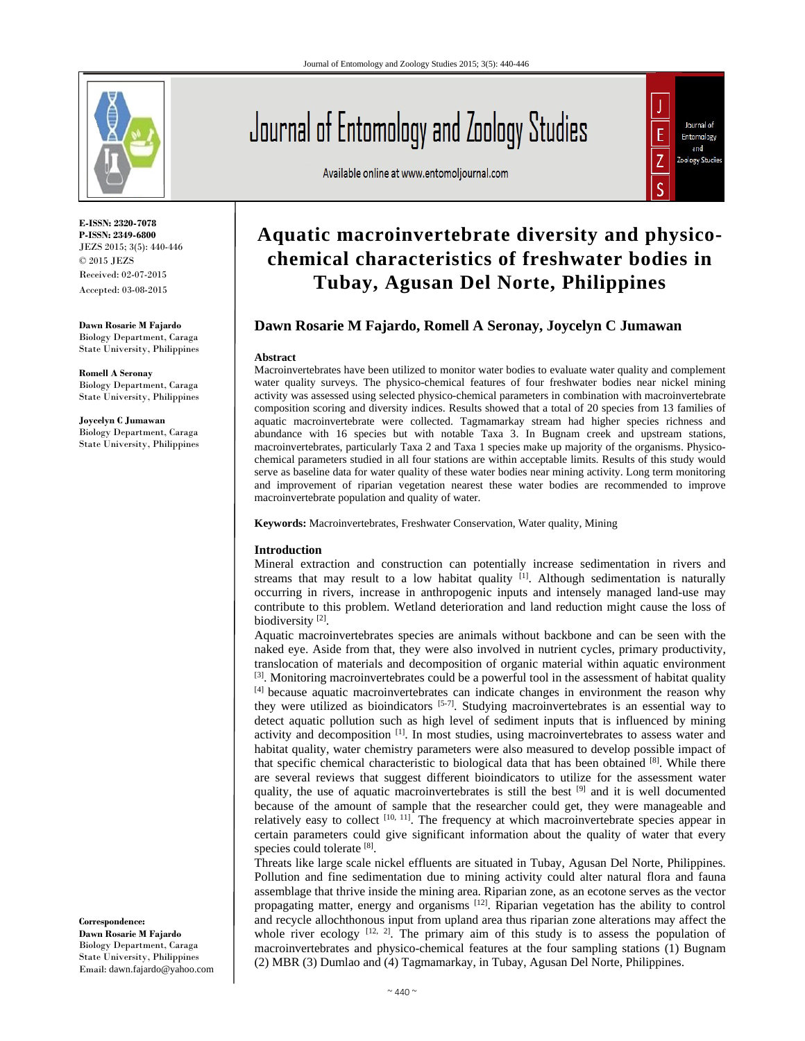

**E-ISSN: 2320-7078 P-ISSN: 2349-6800** JEZS 2015; 3(5): 440-446 © 2015 JEZS Received: 02-07-2015 Accepted: 03-08-2015

**Dawn Rosarie M Fajardo**  Biology Department, Caraga State University, Philippines

**Romell A Seronay**  Biology Department, Caraga State University, Philippines

**Joycelyn C Jumawan**  Biology Department, Caraga State University, Philippines

**Correspondence: Dawn Rosarie M Fajardo**  Biology Department, Caraga State University, Philippines Email: dawn.fajardo@yahoo.com

# Journal of Entomology and Zoology Studies

Available online at www.entomoljournal.com



# **Aquatic macroinvertebrate diversity and physicochemical characteristics of freshwater bodies in Tubay, Agusan Del Norte, Philippines**

# **Dawn Rosarie M Fajardo, Romell A Seronay, Joycelyn C Jumawan**

#### **Abstract**

Macroinvertebrates have been utilized to monitor water bodies to evaluate water quality and complement water quality surveys. The physico-chemical features of four freshwater bodies near nickel mining activity was assessed using selected physico-chemical parameters in combination with macroinvertebrate composition scoring and diversity indices. Results showed that a total of 20 species from 13 families of aquatic macroinvertebrate were collected. Tagmamarkay stream had higher species richness and abundance with 16 species but with notable Taxa 3. In Bugnam creek and upstream stations, macroinvertebrates, particularly Taxa 2 and Taxa 1 species make up majority of the organisms. Physicochemical parameters studied in all four stations are within acceptable limits. Results of this study would serve as baseline data for water quality of these water bodies near mining activity. Long term monitoring and improvement of riparian vegetation nearest these water bodies are recommended to improve macroinvertebrate population and quality of water.

**Keywords:** Macroinvertebrates, Freshwater Conservation, Water quality, Mining

#### **Introduction**

Mineral extraction and construction can potentially increase sedimentation in rivers and streams that may result to a low habitat quality  $[1]$ . Although sedimentation is naturally occurring in rivers, increase in anthropogenic inputs and intensely managed land-use may contribute to this problem. Wetland deterioration and land reduction might cause the loss of biodiversity<sup>[2]</sup>.

Aquatic macroinvertebrates species are animals without backbone and can be seen with the naked eye. Aside from that, they were also involved in nutrient cycles, primary productivity, translocation of materials and decomposition of organic material within aquatic environment  $[3]$ . Monitoring macroinvertebrates could be a powerful tool in the assessment of habitat quality [4] because aquatic macroinvertebrates can indicate changes in environment the reason why they were utilized as bioindicators [5-7]. Studying macroinvertebrates is an essential way to detect aquatic pollution such as high level of sediment inputs that is influenced by mining activity and decomposition [1]. In most studies, using macroinvertebrates to assess water and habitat quality, water chemistry parameters were also measured to develop possible impact of that specific chemical characteristic to biological data that has been obtained  $[8]$ . While there are several reviews that suggest different bioindicators to utilize for the assessment water quality, the use of aquatic macroinvertebrates is still the best  $[9]$  and it is well documented because of the amount of sample that the researcher could get, they were manageable and relatively easy to collect [10, 11]. The frequency at which macroinvertebrate species appear in certain parameters could give significant information about the quality of water that every species could tolerate [8].

Threats like large scale nickel effluents are situated in Tubay, Agusan Del Norte, Philippines. Pollution and fine sedimentation due to mining activity could alter natural flora and fauna assemblage that thrive inside the mining area. Riparian zone, as an ecotone serves as the vector propagating matter, energy and organisms [12]. Riparian vegetation has the ability to control and recycle allochthonous input from upland area thus riparian zone alterations may affect the whole river ecology  $[12, 2]$ . The primary aim of this study is to assess the population of macroinvertebrates and physico-chemical features at the four sampling stations (1) Bugnam (2) MBR (3) Dumlao and (4) Tagmamarkay, in Tubay, Agusan Del Norte, Philippines.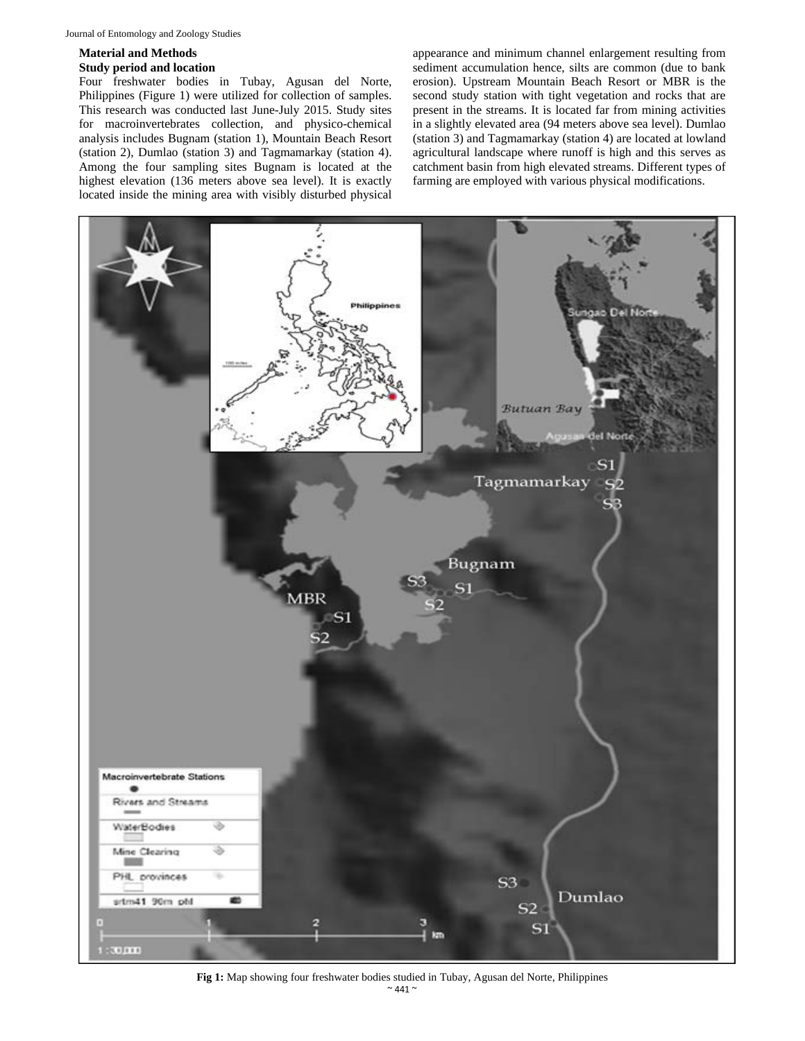#### **Material and Methods**

### **Study period and location**

Four freshwater bodies in Tubay, Agusan del Norte, Philippines (Figure 1) were utilized for collection of samples. This research was conducted last June-July 2015. Study sites for macroinvertebrates collection, and physico-chemical analysis includes Bugnam (station 1), Mountain Beach Resort (station 2), Dumlao (station 3) and Tagmamarkay (station 4). Among the four sampling sites Bugnam is located at the highest elevation (136 meters above sea level). It is exactly located inside the mining area with visibly disturbed physical

appearance and minimum channel enlargement resulting from sediment accumulation hence, silts are common (due to bank erosion). Upstream Mountain Beach Resort or MBR is the second study station with tight vegetation and rocks that are present in the streams. It is located far from mining activities in a slightly elevated area (94 meters above sea level). Dumlao (station 3) and Tagmamarkay (station 4) are located at lowland agricultural landscape where runoff is high and this serves as catchment basin from high elevated streams. Different types of farming are employed with various physical modifications.



 $\sim$  441  $\sim$ **Fig 1:** Map showing four freshwater bodies studied in Tubay, Agusan del Norte, Philippines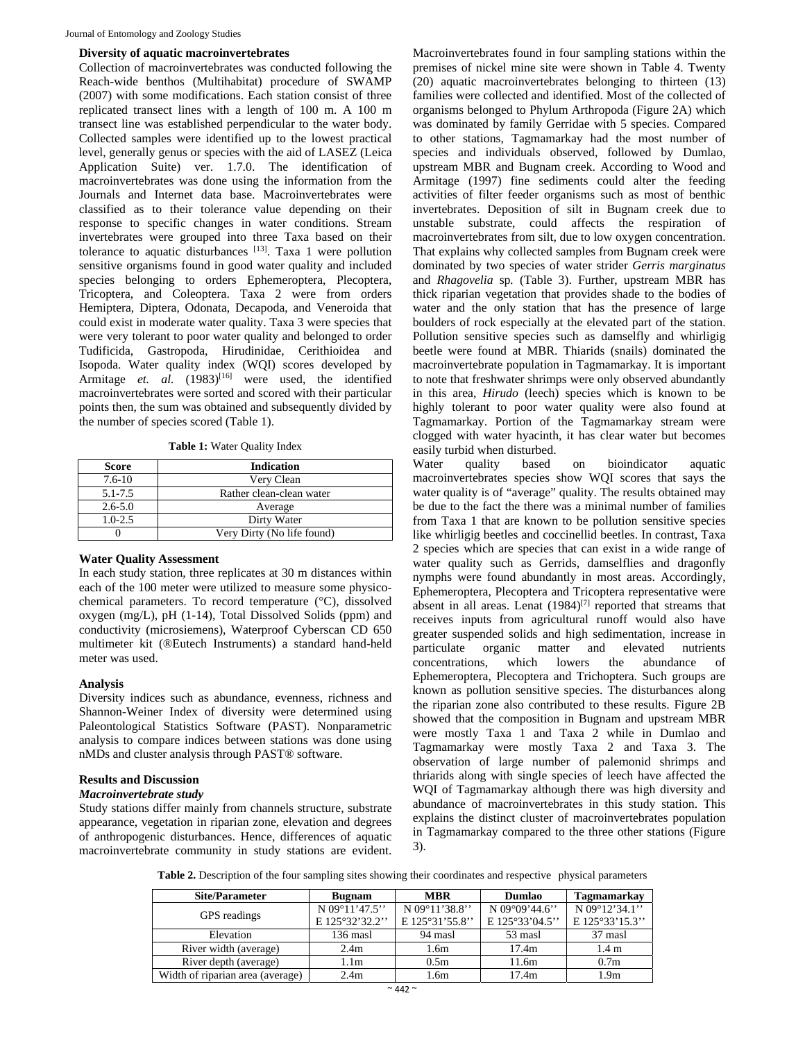#### **Diversity of aquatic macroinvertebrates**

Collection of macroinvertebrates was conducted following the Reach-wide benthos (Multihabitat) procedure of SWAMP (2007) with some modifications. Each station consist of three replicated transect lines with a length of 100 m. A 100 m transect line was established perpendicular to the water body. Collected samples were identified up to the lowest practical level, generally genus or species with the aid of LASEZ (Leica Application Suite) ver. 1.7.0. The identification of macroinvertebrates was done using the information from the Journals and Internet data base. Macroinvertebrates were classified as to their tolerance value depending on their response to specific changes in water conditions. Stream invertebrates were grouped into three Taxa based on their tolerance to aquatic disturbances [13]. Taxa 1 were pollution sensitive organisms found in good water quality and included species belonging to orders Ephemeroptera, Plecoptera, Tricoptera, and Coleoptera. Taxa 2 were from orders Hemiptera, Diptera, Odonata, Decapoda, and Veneroida that could exist in moderate water quality. Taxa 3 were species that were very tolerant to poor water quality and belonged to order Tudificida, Gastropoda, Hirudinidae, Cerithioidea and Isopoda. Water quality index (WQI) scores developed by Armitage *et. al.* (1983)<sup>[16]</sup> were used, the identified macroinvertebrates were sorted and scored with their particular points then, the sum was obtained and subsequently divided by the number of species scored (Table 1).

**Table 1:** Water Quality Index

| Score       | <b>Indication</b>          |  |  |  |  |
|-------------|----------------------------|--|--|--|--|
| $7.6 - 10$  | Very Clean                 |  |  |  |  |
| $5.1 - 7.5$ | Rather clean-clean water   |  |  |  |  |
| $2.6 - 5.0$ | Average                    |  |  |  |  |
| $1.0 - 2.5$ | Dirty Water                |  |  |  |  |
|             | Very Dirty (No life found) |  |  |  |  |

#### **Water Quality Assessment**

In each study station, three replicates at 30 m distances within each of the 100 meter were utilized to measure some physicochemical parameters. To record temperature (°C), dissolved oxygen (mg/L), pH (1-14), Total Dissolved Solids (ppm) and conductivity (microsiemens), Waterproof Cyberscan CD 650 multimeter kit (®Eutech Instruments) a standard hand-held meter was used.

#### **Analysis**

Diversity indices such as abundance, evenness, richness and Shannon-Weiner Index of diversity were determined using Paleontological Statistics Software (PAST). Nonparametric analysis to compare indices between stations was done using nMDs and cluster analysis through PAST® software.

#### **Results and Discussion**

#### *Macroinvertebrate study*

Study stations differ mainly from channels structure, substrate appearance, vegetation in riparian zone, elevation and degrees of anthropogenic disturbances. Hence, differences of aquatic macroinvertebrate community in study stations are evident.

Macroinvertebrates found in four sampling stations within the premises of nickel mine site were shown in Table 4. Twenty  $(20)$  aquatic macroinvertebrates belonging to thirteen  $(13)$ families were collected and identified. Most of the collected of organisms belonged to Phylum Arthropoda (Figure 2A) which was dominated by family Gerridae with 5 species. Compared to other stations, Tagmamarkay had the most number of species and individuals observed, followed by Dumlao, upstream MBR and Bugnam creek. According to Wood and Armitage (1997) fine sediments could alter the feeding activities of filter feeder organisms such as most of benthic invertebrates. Deposition of silt in Bugnam creek due to unstable substrate, could affects the respiration of macroinvertebrates from silt, due to low oxygen concentration. That explains why collected samples from Bugnam creek were dominated by two species of water strider *Gerris marginatus*  and *Rhagovelia* sp*.* (Table 3). Further, upstream MBR has thick riparian vegetation that provides shade to the bodies of water and the only station that has the presence of large boulders of rock especially at the elevated part of the station. Pollution sensitive species such as damselfly and whirligig beetle were found at MBR. Thiarids (snails) dominated the macroinvertebrate population in Tagmamarkay. It is important to note that freshwater shrimps were only observed abundantly in this area, *Hirudo* (leech) species which is known to be highly tolerant to poor water quality were also found at Tagmamarkay. Portion of the Tagmamarkay stream were clogged with water hyacinth, it has clear water but becomes easily turbid when disturbed.

Water quality based on bioindicator aquatic macroinvertebrates species show WQI scores that says the water quality is of "average" quality. The results obtained may be due to the fact the there was a minimal number of families from Taxa 1 that are known to be pollution sensitive species like whirligig beetles and coccinellid beetles. In contrast, Taxa 2 species which are species that can exist in a wide range of water quality such as Gerrids, damselflies and dragonfly nymphs were found abundantly in most areas. Accordingly, Ephemeroptera, Plecoptera and Tricoptera representative were absent in all areas. Lenat  $(1984)^{[7]}$  reported that streams that receives inputs from agricultural runoff would also have greater suspended solids and high sedimentation, increase in particulate organic matter and elevated nutrients<br>concentrations, which lowers the abundance of concentrations, which lowers the abundance of Ephemeroptera, Plecoptera and Trichoptera. Such groups are known as pollution sensitive species. The disturbances along the riparian zone also contributed to these results. Figure 2B showed that the composition in Bugnam and upstream MBR were mostly Taxa 1 and Taxa 2 while in Dumlao and Tagmamarkay were mostly Taxa 2 and Taxa 3. The observation of large number of palemonid shrimps and thriarids along with single species of leech have affected the WQI of Tagmamarkay although there was high diversity and abundance of macroinvertebrates in this study station. This explains the distinct cluster of macroinvertebrates population in Tagmamarkay compared to the three other stations (Figure 3).

**Table 2.** Description of the four sampling sites showing their coordinates and respective physical parameters

| <b>Site/Parameter</b>            | <b>Bugnam</b>    | <b>MBR</b>       | Dumlao                 | <b>Tagmamarkay</b> |
|----------------------------------|------------------|------------------|------------------------|--------------------|
|                                  | N 09°11'47.5"    | N 09°11'38.8"    | N $09^{\circ}09'44.6"$ | N 09°12'34.1"      |
| GPS readings                     | E 125°32'32.2"   | E 125°31'55.8"   | E 125°33'04.5"         | E 125°33'15.3"     |
| Elevation                        | $136$ masl       | 94 masl          | 53 masl                | 37 masl            |
| River width (average)            | 2.4 <sub>m</sub> | 1.6 <sub>m</sub> | 17.4m                  | 1.4 <sub>m</sub>   |
| River depth (average)            | 1.1m             | 0.5 <sub>m</sub> | 11.6m                  | 0.7 <sub>m</sub>   |
| Width of riparian area (average) | 2.4 <sub>m</sub> | 1.6m             | 17.4m                  | 1.9 <sub>m</sub>   |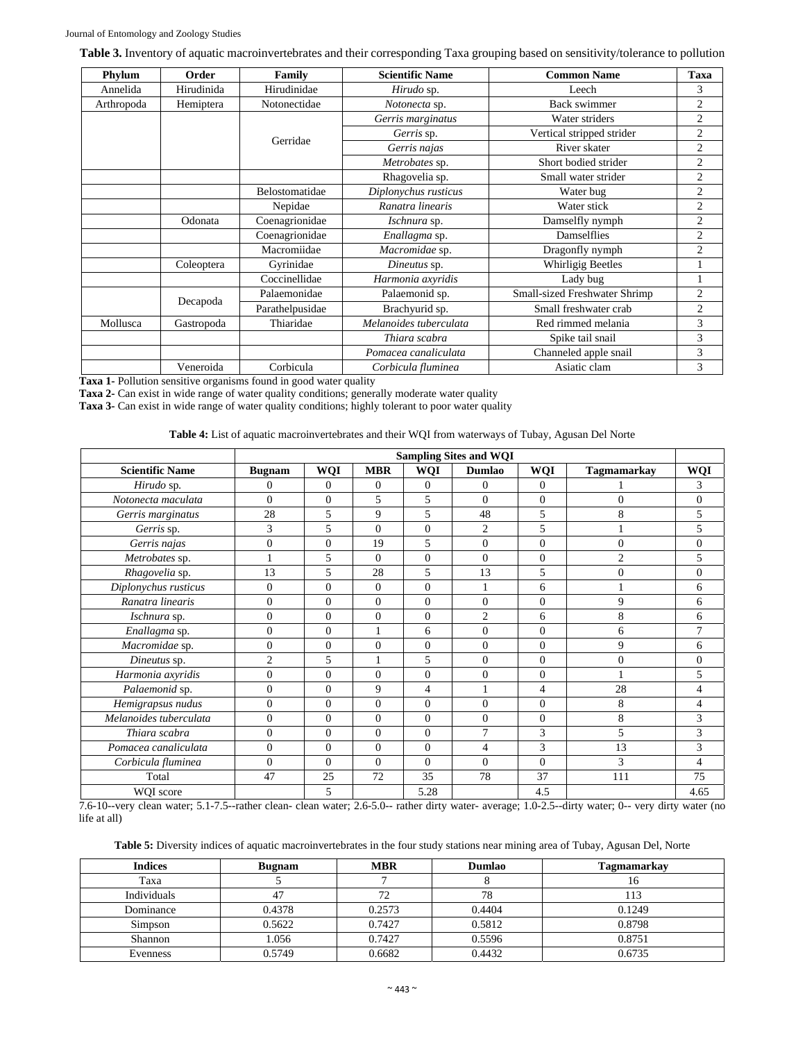**Table 3.** Inventory of aquatic macroinvertebrates and their corresponding Taxa grouping based on sensitivity/tolerance to pollution

| Phylum     | Order      | Family          | <b>Scientific Name</b> | <b>Common Name</b>            | Taxa           |
|------------|------------|-----------------|------------------------|-------------------------------|----------------|
| Annelida   | Hirudinida | Hirudinidae     | Hirudo sp.             | Leech                         | 3              |
| Arthropoda | Hemiptera  | Notonectidae    | Notonecta sp.          | <b>Back swimmer</b>           | $\overline{c}$ |
|            |            |                 | Gerris marginatus      | Water striders                | $\overline{c}$ |
|            |            |                 | Gerris sp.             | Vertical stripped strider     | $\overline{c}$ |
|            |            | Gerridae        | Gerris najas           | River skater                  | 2              |
|            |            |                 | Metrobates sp.         | Short bodied strider          | $\overline{c}$ |
|            |            |                 | Rhagovelia sp.         | Small water strider           | 2              |
|            |            | Belostomatidae  | Diplonychus rusticus   | Water bug                     | $\overline{c}$ |
|            |            | Nepidae         | Ranatra linearis       | Water stick                   | 2              |
|            | Odonata    | Coenagrionidae  | Ischnura sp.           | Damselfly nymph               | $\overline{c}$ |
|            |            | Coenagrionidae  | Enallagma sp.          | Damselflies                   | 2              |
|            |            | Macromiidae     | Macromidae sp.         | Dragonfly nymph               | $\overline{c}$ |
|            | Coleoptera | Gyrinidae       | Dineutus sp.           | <b>Whirligig Beetles</b>      |                |
|            |            | Coccinellidae   | Harmonia axyridis      | Lady bug                      |                |
|            |            | Palaemonidae    | Palaemonid sp.         | Small-sized Freshwater Shrimp | $\overline{2}$ |
|            | Decapoda   | Parathelpusidae | Brachyurid sp.         | Small freshwater crab         | $\overline{c}$ |
| Mollusca   | Gastropoda | Thiaridae       | Melanoides tuberculata | Red rimmed melania            | 3              |
|            |            |                 | Thiara scabra          | Spike tail snail              | 3              |
|            |            |                 | Pomacea canaliculata   | Channeled apple snail         | 3              |
|            | Veneroida  | Corbicula       | Corbicula fluminea     | Asiatic clam                  | 3              |

**Taxa 1-** Pollution sensitive organisms found in good water quality

**Taxa 2-** Can exist in wide range of water quality conditions; generally moderate water quality

**Taxa 3-** Can exist in wide range of water quality conditions; highly tolerant to poor water quality

**Table 4:** List of aquatic macroinvertebrates and their WQI from waterways of Tubay, Agusan Del Norte

|                        | <b>Sampling Sites and WQI</b> |                |              |                |                |                |                |                          |
|------------------------|-------------------------------|----------------|--------------|----------------|----------------|----------------|----------------|--------------------------|
| <b>Scientific Name</b> | <b>Bugnam</b>                 | <b>WQI</b>     | <b>MBR</b>   | WQI            | <b>Dumlao</b>  | WQI            | Tagmamarkay    | WQI                      |
| Hirudo sp.             | $\Omega$                      | $\Omega$       | $\mathbf{0}$ | $\mathbf{0}$   | $\Omega$       | $\Omega$       |                | 3                        |
| Notonecta maculata     | $\Omega$                      | $\Omega$       | 5            | 5              | $\Omega$       | $\Omega$       | $\Omega$       | $\overline{0}$           |
| Gerris marginatus      | 28                            | 5              | 9            | 5              | 48             | 5              | 8              | 5                        |
| Gerris sp.             | 3                             | 5              | $\theta$     | $\mathbf{0}$   | $\overline{c}$ | 5              |                | 5                        |
| Gerris najas           | $\overline{0}$                | $\Omega$       | 19           | 5              | $\Omega$       | $\Omega$       | $\Omega$       | $\mathbf{0}$             |
| Metrobates sp.         |                               | 5              | $\Omega$     | $\mathbf{0}$   | $\Omega$       | $\mathbf{0}$   | $\mathfrak{D}$ | 5                        |
| Rhagovelia sp.         | 13                            | 5              | 28           | 5              | 13             | 5              | $\Omega$       | $\mathbf{0}$             |
| Diplonychus rusticus   | $\overline{0}$                | $\Omega$       | $\Omega$     | $\mathbf{0}$   |                | 6              |                | 6                        |
| Ranatra linearis       | $\overline{0}$                | $\Omega$       | $\Omega$     | $\Omega$       | $\Omega$       | $\Omega$       | $\mathbf{Q}$   | 6                        |
| Ischnura sp.           | $\overline{0}$                | $\theta$       | $\mathbf{0}$ | $\overline{0}$ | $\overline{2}$ | 6              | 8              | 6                        |
| Enallagma sp.          | $\overline{0}$                | $\theta$       | $\mathbf{1}$ | 6              | $\Omega$       | $\theta$       | 6              | $\tau$                   |
| Macromidae sp.         | $\overline{0}$                | $\theta$       | $\theta$     | $\overline{0}$ | $\Omega$       | $\theta$       | 9              | 6                        |
| Dineutus sp.           | $\overline{c}$                | 5              |              | 5              | $\Omega$       | $\theta$       | $\Omega$       | $\Omega$                 |
| Harmonia axyridis      | $\Omega$                      | $\Omega$       | $\theta$     | $\Omega$       | $\Omega$       | $\Omega$       |                | 5                        |
| Palaemonid sp.         | $\overline{0}$                | $\Omega$       | 9            | 4              |                | $\overline{4}$ | 28             | $\overline{\mathcal{L}}$ |
| Hemigrapsus nudus      | $\overline{0}$                | $\overline{0}$ | $\mathbf{0}$ | $\mathbf{0}$   | $\Omega$       | $\mathbf{0}$   | 8              | $\overline{4}$           |
| Melanoides tuberculata | $\overline{0}$                | $\Omega$       | $\theta$     | $\mathbf{0}$   | $\Omega$       | $\mathbf{0}$   | 8              | 3                        |
| Thiara scabra          | $\Omega$                      | $\theta$       | $\theta$     | $\mathbf{0}$   | 7              | 3              | 5              | 3                        |
| Pomacea canaliculata   | $\overline{0}$                | $\theta$       | $\theta$     | $\mathbf{0}$   | 4              | 3              | 13             | 3                        |
| Corbicula fluminea     | $\Omega$                      | $\Omega$       | $\Omega$     | $\Omega$       | $\Omega$       | $\Omega$       | 3              | $\overline{4}$           |
| Total                  | 47                            | 25             | 72           | 35             | 78             | 37             | 111            | 75                       |
| WQI score              |                               | 5              |              | 5.28           |                | 4.5            |                | 4.65                     |

7.6-10--very clean water; 5.1-7.5--rather clean- clean water; 2.6-5.0-- rather dirty water- average; 1.0-2.5--dirty water; 0-- very dirty water (no life at all)

Table 5: Diversity indices of aquatic macroinvertebrates in the four study stations near mining area of Tubay, Agusan Del, Norte

| <b>Indices</b> | <b>Bugnam</b> | <b>MBR</b> | <b>Dumlao</b> | Tagmamarkay |
|----------------|---------------|------------|---------------|-------------|
| Taxa           |               |            |               | 16          |
| Individuals    | 4.1           | 72         | 78            | 113         |
| Dominance      | 0.4378        | 0.2573     | 0.4404        | 0.1249      |
| Simpson        | 0.5622        | 0.7427     | 0.5812        | 0.8798      |
| Shannon        | 1.056         | 0.7427     | 0.5596        | 0.8751      |
| Evenness       | 0.5749        | 0.6682     | 0.4432        | 0.6735      |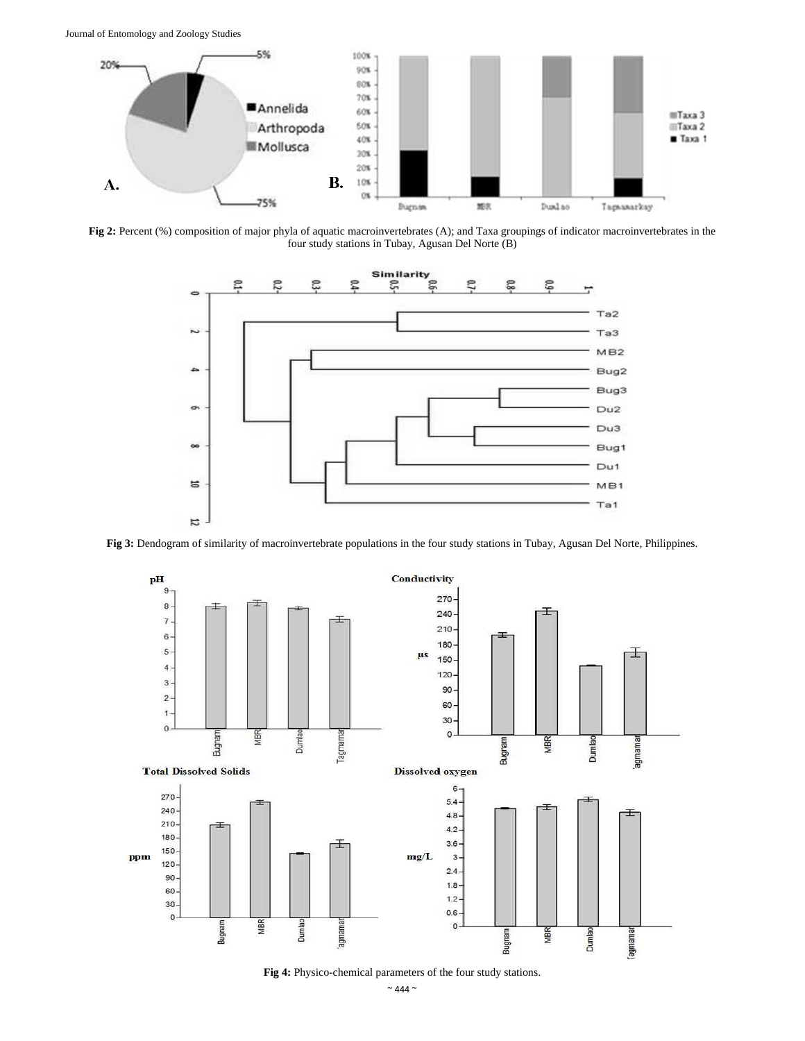Journal of Entomology and Zoology Studies



**Fig 2:** Percent (%) composition of major phyla of aquatic macroinvertebrates (A); and Taxa groupings of indicator macroinvertebrates in the four study stations in Tubay, Agusan Del Norte (B)



**Fig 3:** Dendogram of similarity of macroinvertebrate populations in the four study stations in Tubay, Agusan Del Norte, Philippines.



**Fig 4:** Physico-chemical parameters of the four study stations.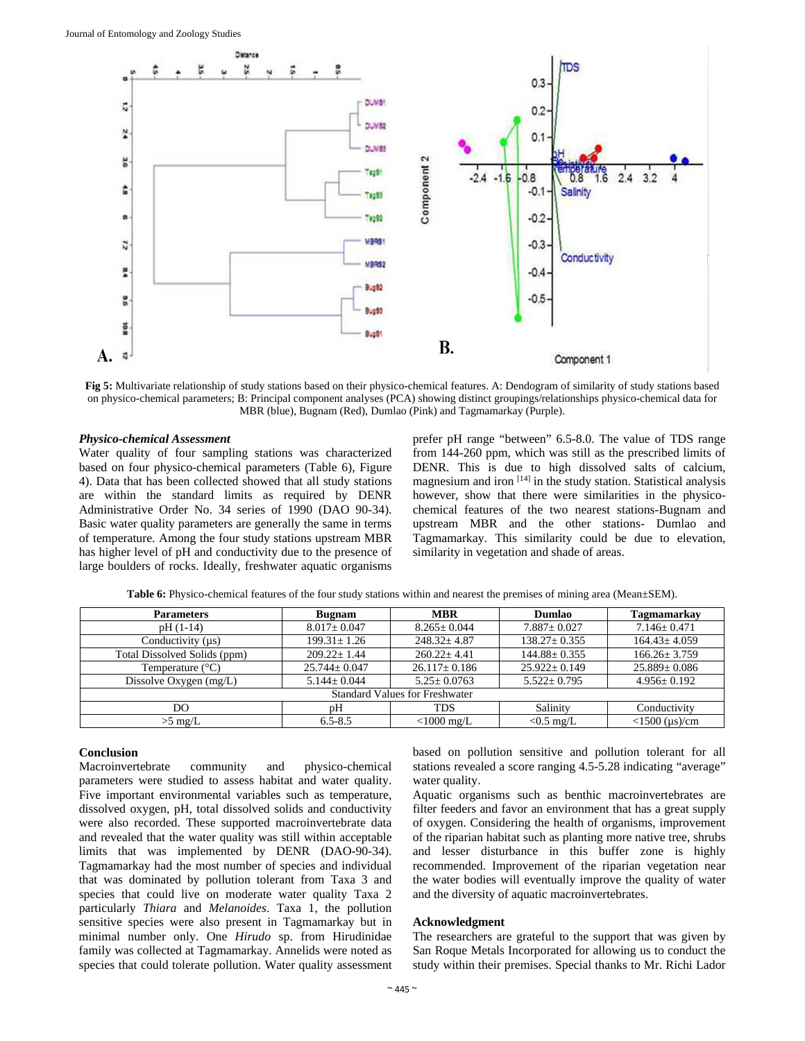

**Fig 5:** Multivariate relationship of study stations based on their physico-chemical features. A: Dendogram of similarity of study stations based on physico-chemical parameters; B: Principal component analyses (PCA) showing distinct groupings/relationships physico-chemical data for MBR (blue), Bugnam (Red), Dumlao (Pink) and Tagmamarkay (Purple).

#### *Physico-chemical Assessment*

Water quality of four sampling stations was characterized based on four physico-chemical parameters (Table 6), Figure 4). Data that has been collected showed that all study stations are within the standard limits as required by DENR Administrative Order No. 34 series of 1990 (DAO 90-34). Basic water quality parameters are generally the same in terms of temperature. Among the four study stations upstream MBR has higher level of pH and conductivity due to the presence of large boulders of rocks. Ideally, freshwater aquatic organisms prefer pH range "between" 6.5-8.0. The value of TDS range from 144-260 ppm, which was still as the prescribed limits of DENR. This is due to high dissolved salts of calcium, magnesium and iron [14] in the study station. Statistical analysis however, show that there were similarities in the physicochemical features of the two nearest stations-Bugnam and upstream MBR and the other stations- Dumlao and Tagmamarkay. This similarity could be due to elevation, similarity in vegetation and shade of areas.

| <b>Parameters</b>                     | <b>Bugnam</b>      | <b>MBR</b>         | Dumlao             | <b>Tagmamarkay</b>     |  |  |  |  |
|---------------------------------------|--------------------|--------------------|--------------------|------------------------|--|--|--|--|
| $pH(1-14)$                            | $8.017 \pm 0.047$  | $8.265+0.044$      | $7.887 \pm 0.027$  | $7.146 \pm 0.471$      |  |  |  |  |
| Conductivity (us)                     | $199.31 \pm 1.26$  | $248.32 \pm 4.87$  | $138.27 \pm 0.355$ | $164.43 \pm 4.059$     |  |  |  |  |
| Total Dissolved Solids (ppm)          | $209.22 + 1.44$    | $260.22 + 4.41$    | $144.88 \pm 0.355$ | $166.26 \pm 3.759$     |  |  |  |  |
| Temperature $(^{\circ}C)$             | $25.744 \pm 0.047$ | $26.117 \pm 0.186$ | $25.922+0.149$     | $25.889 \pm 0.086$     |  |  |  |  |
| Dissolve Oxygen (mg/L)                | $5.144 \pm 0.044$  | $5.25 \pm 0.0763$  | $5.522 \pm 0.795$  | $4.956 \pm 0.192$      |  |  |  |  |
| <b>Standard Values for Freshwater</b> |                    |                    |                    |                        |  |  |  |  |
| DO                                    | pH                 | <b>TDS</b>         | Salinity           | Conductivity           |  |  |  |  |
| $>5$ mg/L                             | $6.5 - 8.5$        | $<$ 1000 mg/L      | $< 0.5$ mg/L       | $<$ 1500 ( $\mu$ s)/cm |  |  |  |  |

Table 6: Physico-chemical features of the four study stations within and nearest the premises of mining area (Mean±SEM).

## **Conclusion**

Macroinvertebrate community and physico-chemical parameters were studied to assess habitat and water quality. Five important environmental variables such as temperature, dissolved oxygen, pH, total dissolved solids and conductivity were also recorded. These supported macroinvertebrate data and revealed that the water quality was still within acceptable limits that was implemented by DENR (DAO-90-34). Tagmamarkay had the most number of species and individual that was dominated by pollution tolerant from Taxa 3 and species that could live on moderate water quality Taxa 2 particularly *Thiara* and *Melanoides*. Taxa 1, the pollution sensitive species were also present in Tagmamarkay but in minimal number only. One *Hirudo* sp. from Hirudinidae family was collected at Tagmamarkay. Annelids were noted as species that could tolerate pollution. Water quality assessment

based on pollution sensitive and pollution tolerant for all stations revealed a score ranging 4.5-5.28 indicating "average" water quality.

Aquatic organisms such as benthic macroinvertebrates are filter feeders and favor an environment that has a great supply of oxygen. Considering the health of organisms, improvement of the riparian habitat such as planting more native tree, shrubs and lesser disturbance in this buffer zone is highly recommended. Improvement of the riparian vegetation near the water bodies will eventually improve the quality of water and the diversity of aquatic macroinvertebrates.

#### **Acknowledgment**

The researchers are grateful to the support that was given by San Roque Metals Incorporated for allowing us to conduct the study within their premises. Special thanks to Mr. Richi Lador